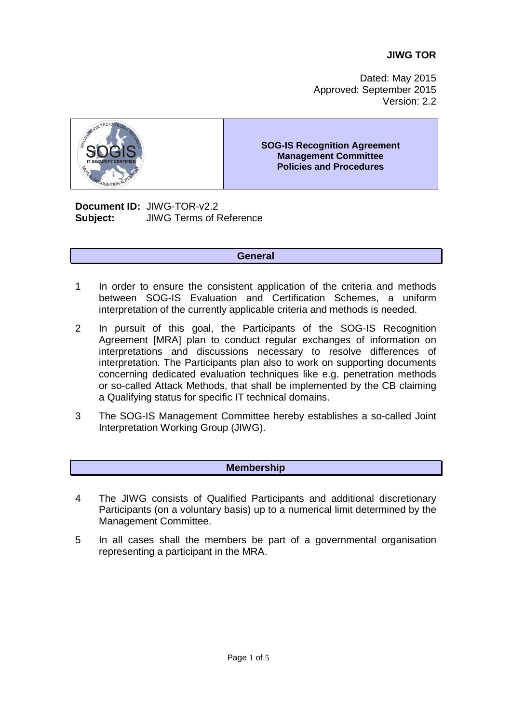# **JIWG TOR**

Dated: May 2015 Approved: September 2015 Version: 2.2



#### **SOG-IS Recognition Agreement Management Committee Policies and Procedures**

**Document ID:** JIWG-TOR-v2.2 **Subject:** JIWG Terms of Reference

### **General**

- 1 In order to ensure the consistent application of the criteria and methods between SOG-IS Evaluation and Certification Schemes, a uniform interpretation of the currently applicable criteria and methods is needed.
- 2 In pursuit of this goal, the Participants of the SOG-IS Recognition Agreement [MRA] plan to conduct regular exchanges of information on interpretations and discussions necessary to resolve differences of interpretation. The Participants plan also to work on supporting documents concerning dedicated evaluation techniques like e.g. penetration methods or so-called Attack Methods, that shall be implemented by the CB claiming a Qualifying status for specific IT technical domains.
- 3 The SOG-IS Management Committee hereby establishes a so-called Joint Interpretation Working Group (JIWG).

### **Membership**

- 4 The JIWG consists of Qualified Participants and additional discretionary Participants (on a voluntary basis) up to a numerical limit determined by the Management Committee.
- 5 In all cases shall the members be part of a governmental organisation representing a participant in the MRA.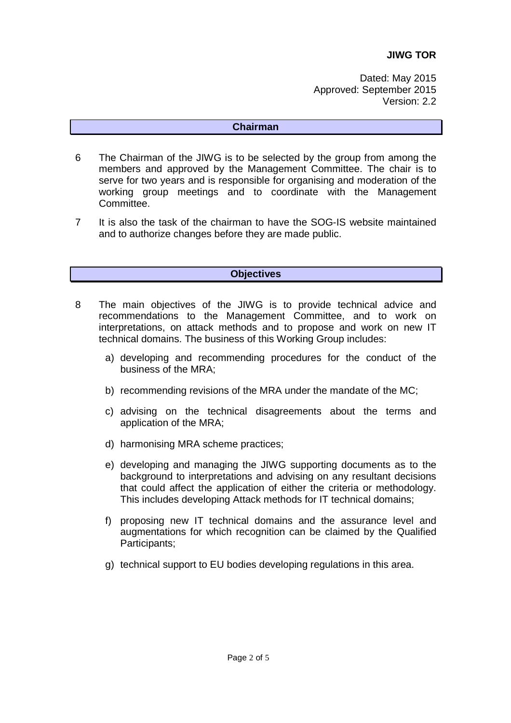Dated: May 2015 Approved: September 2015 Version: 2.2

### **Chairman**

- 6 The Chairman of the JIWG is to be selected by the group from among the members and approved by the Management Committee. The chair is to serve for two years and is responsible for organising and moderation of the working group meetings and to coordinate with the Management Committee.
- 7 It is also the task of the chairman to have the SOG-IS website maintained and to authorize changes before they are made public.

## **Objectives**

- 8 The main objectives of the JIWG is to provide technical advice and recommendations to the Management Committee, and to work on interpretations, on attack methods and to propose and work on new IT technical domains. The business of this Working Group includes:
	- a) developing and recommending procedures for the conduct of the business of the MRA;
	- b) recommending revisions of the MRA under the mandate of the MC;
	- c) advising on the technical disagreements about the terms and application of the MRA;
	- d) harmonising MRA scheme practices;
	- e) developing and managing the JIWG supporting documents as to the background to interpretations and advising on any resultant decisions that could affect the application of either the criteria or methodology. This includes developing Attack methods for IT technical domains;
	- f) proposing new IT technical domains and the assurance level and augmentations for which recognition can be claimed by the Qualified Participants;
	- g) technical support to EU bodies developing regulations in this area.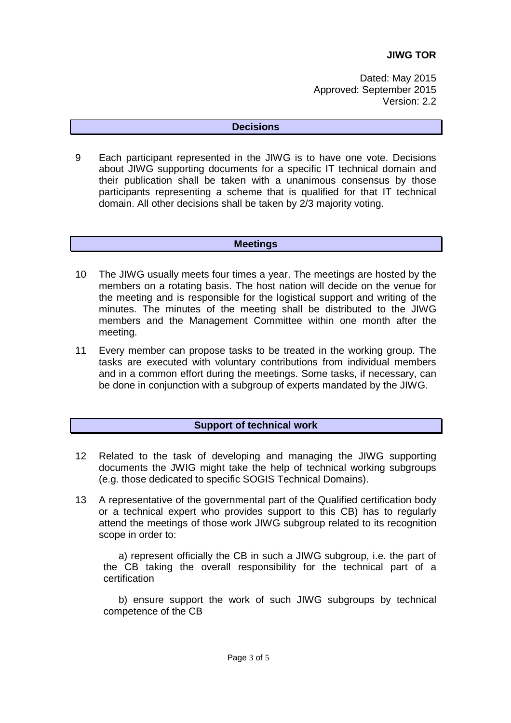Dated: May 2015 Approved: September 2015 Version: 2.2

### **Decisions**

9 Each participant represented in the JIWG is to have one vote. Decisions about JIWG supporting documents for a specific IT technical domain and their publication shall be taken with a unanimous consensus by those participants representing a scheme that is qualified for that IT technical domain. All other decisions shall be taken by 2/3 majority voting.

### **Meetings**

- 10 The JIWG usually meets four times a year. The meetings are hosted by the members on a rotating basis. The host nation will decide on the venue for the meeting and is responsible for the logistical support and writing of the minutes. The minutes of the meeting shall be distributed to the JIWG members and the Management Committee within one month after the meeting.
- 11 Every member can propose tasks to be treated in the working group. The tasks are executed with voluntary contributions from individual members and in a common effort during the meetings. Some tasks, if necessary, can be done in conjunction with a subgroup of experts mandated by the JIWG.

# **Support of technical work**

- 12 Related to the task of developing and managing the JIWG supporting documents the JWIG might take the help of technical working subgroups (e.g. those dedicated to specific SOGIS Technical Domains).
- 13 A representative of the governmental part of the Qualified certification body or a technical expert who provides support to this CB) has to regularly attend the meetings of those work JIWG subgroup related to its recognition scope in order to:

a) represent officially the CB in such a JIWG subgroup, i.e. the part of the CB taking the overall responsibility for the technical part of a certification

b) ensure support the work of such JIWG subgroups by technical competence of the CB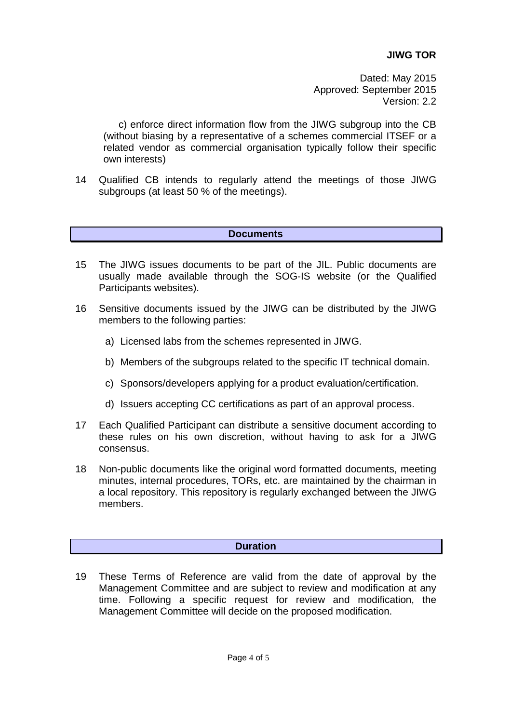Dated: May 2015 Approved: September 2015 Version: 2.2

c) enforce direct information flow from the JIWG subgroup into the CB (without biasing by a representative of a schemes commercial ITSEF or a related vendor as commercial organisation typically follow their specific own interests)

14 Qualified CB intends to regularly attend the meetings of those JIWG subgroups (at least 50 % of the meetings).

### **Documents**

- 15 The JIWG issues documents to be part of the JIL. Public documents are usually made available through the SOG-IS website (or the Qualified Participants websites).
- 16 Sensitive documents issued by the JIWG can be distributed by the JIWG members to the following parties:
	- a) Licensed labs from the schemes represented in JIWG.
	- b) Members of the subgroups related to the specific IT technical domain.
	- c) Sponsors/developers applying for a product evaluation/certification.
	- d) Issuers accepting CC certifications as part of an approval process.
- 17 Each Qualified Participant can distribute a sensitive document according to these rules on his own discretion, without having to ask for a JIWG consensus.
- 18 Non-public documents like the original word formatted documents, meeting minutes, internal procedures, TORs, etc. are maintained by the chairman in a local repository. This repository is regularly exchanged between the JIWG members.

### **Duration**

19 These Terms of Reference are valid from the date of approval by the Management Committee and are subject to review and modification at any time. Following a specific request for review and modification, the Management Committee will decide on the proposed modification.